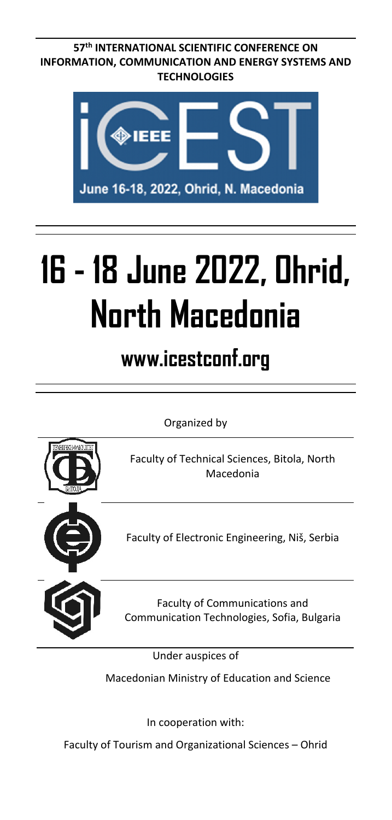**57th INTERNATIONAL SCIENTIFIC CONFERENCE ON INFORMATION, COMMUNICATION AND ENERGY SYSTEMS AND TECHNOLOGIES** 



# **16 - 18 June 2022, Ohrid, North Macedonia**

**www.icestconf.org** 

Organized by



Under auspices of

Macedonian Ministry of Education and Science

In cooperation with:

Faculty of Tourism and Organizational Sciences – Ohrid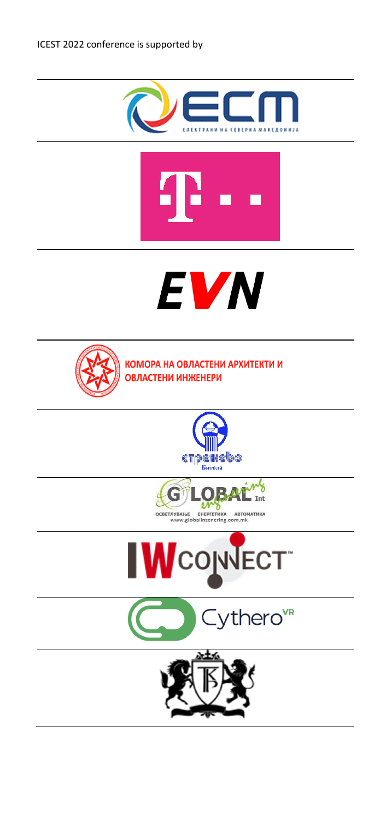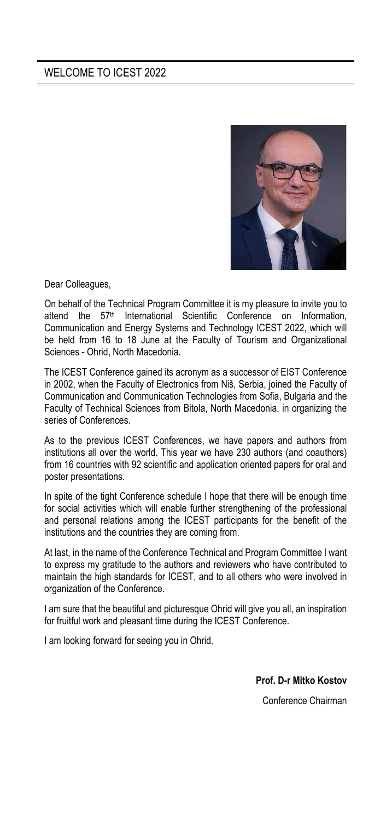

Dear Colleagues,

On behalf of the Technical Program Committee it is my pleasure to invite you to attend the 57<sup>th</sup> International Scientific Conference on Information, Communication and Energy Systems and Technology ICEST 2022, which will be held from 16 to 18 June at the Faculty of Tourism and Organizational Sciences - Ohrid, North Macedonia.

The ICEST Conference gained its acronym as a successor of EIST Conference in 2002, when the Faculty of Electronics from Niš, Serbia, joined the Faculty of Communication and Communication Technologies from Sofia, Bulgaria and the Faculty of Technical Sciences from Bitola, North Macedonia, in organizing the series of Conferences.

As to the previous ICEST Conferences, we have papers and authors from institutions all over the world. This year we have 230 authors (and coauthors) from 16 countries with 92 scientific and application oriented papers for oral and poster presentations.

In spite of the tight Conference schedule I hope that there will be enough time for social activities which will enable further strengthening of the professional and personal relations among the ICEST participants for the benefit of the institutions and the countries they are coming from.

At last, in the name of the Conference Technical and Program Committee I want to express my gratitude to the authors and reviewers who have contributed to maintain the high standards for ICEST, and to all others who were involved in organization of the Conference.

I am sure that the beautiful and picturesque Ohrid will give you all, an inspiration for fruitful work and pleasant time during the ICEST Conference.

I am looking forward for seeing you in Ohrid.

**Prof. D-r Mitko Kostov** 

Conference Chairman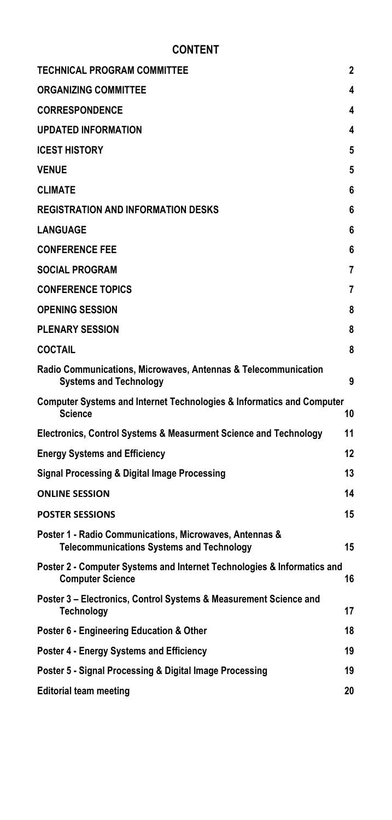# **CONTENT**

| <b>TECHNICAL PROGRAM COMMITTEE</b>                                                                          | 2  |
|-------------------------------------------------------------------------------------------------------------|----|
| <b>ORGANIZING COMMITTEE</b>                                                                                 | 4  |
| <b>CORRESPONDENCE</b>                                                                                       | 4  |
| <b>UPDATED INFORMATION</b>                                                                                  | 4  |
| <b>ICEST HISTORY</b>                                                                                        | 5  |
| <b>VENUE</b>                                                                                                | 5  |
| <b>CLIMATE</b>                                                                                              | 6  |
| <b>REGISTRATION AND INFORMATION DESKS</b>                                                                   | 6  |
| <b>LANGUAGE</b>                                                                                             | 6  |
| <b>CONFERENCE FEE</b>                                                                                       | 6  |
| <b>SOCIAL PROGRAM</b>                                                                                       | 7  |
| <b>CONFERENCE TOPICS</b>                                                                                    | 7  |
| <b>OPENING SESSION</b>                                                                                      | 8  |
| <b>PLENARY SESSION</b>                                                                                      | 8  |
| <b>COCTAIL</b>                                                                                              | 8  |
| Radio Communications, Microwaves, Antennas & Telecommunication<br><b>Systems and Technology</b>             | 9  |
| <b>Computer Systems and Internet Technologies &amp; Informatics and Computer</b><br>Science                 | 10 |
| Electronics, Control Systems & Measurment Science and Technology                                            | 11 |
| <b>Energy Systems and Efficiency</b>                                                                        | 12 |
| Signal Processing & Digital Image Processing                                                                | 13 |
| <b>ONLINE SESSION</b>                                                                                       | 14 |
| <b>POSTER SESSIONS</b>                                                                                      | 15 |
| Poster 1 - Radio Communications, Microwaves, Antennas &<br><b>Telecommunications Systems and Technology</b> | 15 |
| Poster 2 - Computer Systems and Internet Technologies & Informatics and<br><b>Computer Science</b>          | 16 |
| Poster 3 – Electronics, Control Systems & Measurement Science and<br><b>Technology</b>                      | 17 |
| Poster 6 - Engineering Education & Other                                                                    | 18 |
| Poster 4 - Energy Systems and Efficiency                                                                    | 19 |
| Poster 5 - Signal Processing & Digital Image Processing                                                     | 19 |
| <b>Editorial team meeting</b>                                                                               | 20 |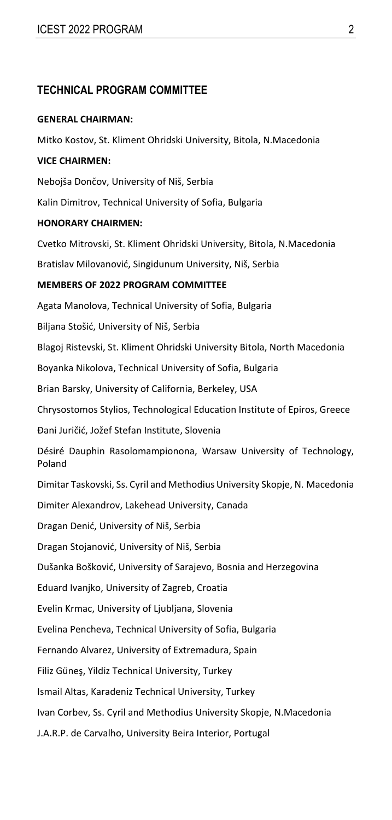# **TECHNICAL PROGRAM COMMITTEE**

#### **GENERAL CHAIRMAN:**

Mitko Kostov, St. Kliment Ohridski University, Bitola, N.Macedonia **VICE CHAIRMEN:**  Nebojša Dončov, University of Niš, Serbia Kalin Dimitrov, Technical University of Sofia, Bulgaria **HONORARY CHAIRMEN:**  Cvetko Mitrovski, St. Kliment Ohridski University, Bitola, N.Macedonia Bratislav Milovanović, Singidunum University, Niš, Serbia **MEMBERS OF 2022 PROGRAM COMMITTEE**  Agata Manolova, Technical University of Sofia, Bulgaria Biljana Stošić, University of Niš, Serbia Blagoj Ristevski, St. Kliment Ohridski University Bitola, North Macedonia Boyanka Nikolova, Technical University of Sofia, Bulgaria Brian Barsky, University of California, Berkeley, USA Chrysostomos Stylios, Technological Education Institute of Epiros, Greece Đani Juričić, Jožef Stefan Institute, Slovenia Désiré Dauphin Rasolomampionona, Warsaw University of Technology, Poland Dimitar Taskovski, Ss. Cyril and Methodius University Skopje, N. Macedonia Dimiter Alexandrov, Lakehead University, Canada Dragan Denić, University of Niš, Serbia Dragan Stojanović, University of Niš, Serbia Dušanka Bošković, University of Sarajevo, Bosnia and Herzegovina Eduard Ivanjko, University of Zagreb, Croatia Evelin Krmac, University of Ljubljana, Slovenia Evelina Pencheva, Technical University of Sofia, Bulgaria Fernando Alvarez, University of Extremadura, Spain Filiz Güneş, Yildiz Technical University, Turkey Ismail Altas, Karadeniz Technical University, Turkey Ivan Corbev, Ss. Cyril and Methodius University Skopje, N.Macedonia J.A.R.P. de Carvalho, University Beira Interior, Portugal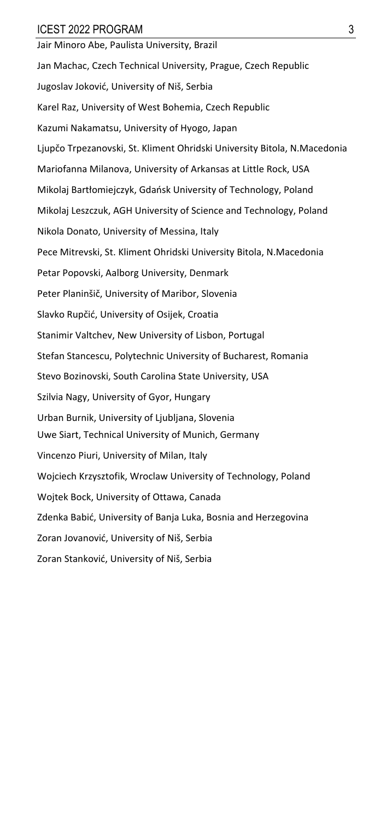Jair Minoro Abe, Paulista University, Brazil Jan Machac, Czech Technical University, Prague, Czech Republic Jugoslav Joković, University of Niš, Serbia Karel Raz, University of West Bohemia, Czech Republic Kazumi Nakamatsu, University of Hyogo, Japan Ljupčo Trpezanovski, St. Kliment Ohridski University Bitola, N.Macedonia Mariofanna Milanova, University of Arkansas at Little Rock, USA Mikolaj Bartłomiejczyk, Gdańsk University of Technology, Poland Mikolaj Leszczuk, AGH University of Science and Technology, Poland Nikola Donato, University of Messina, Italy Pece Mitrevski, St. Kliment Ohridski University Bitola, N.Macedonia Petar Popovski, Aalborg University, Denmark Peter Planinšič, University of Maribor, Slovenia Slavko Rupčić, University of Osijek, Croatia Stanimir Valtchev, New University of Lisbon, Portugal Stefan Stancescu, Polytechnic University of Bucharest, Romania Stevo Bozinovski, South Carolina State University, USA Szilvia Nagy, University of Gyor, Hungary Urban Burnik, University of Ljubljana, Slovenia Uwe Siart, Technical University of Munich, Germany Vincenzo Piuri, University of Milan, Italy Wojciech Krzysztofik, Wroclaw University of Technology, Poland Wojtek Bock, University of Ottawa, Canada Zdenka Babić, University of Banja Luka, Bosnia and Herzegovina Zoran Jovanović, University of Niš, Serbia Zoran Stanković, University of Niš, Serbia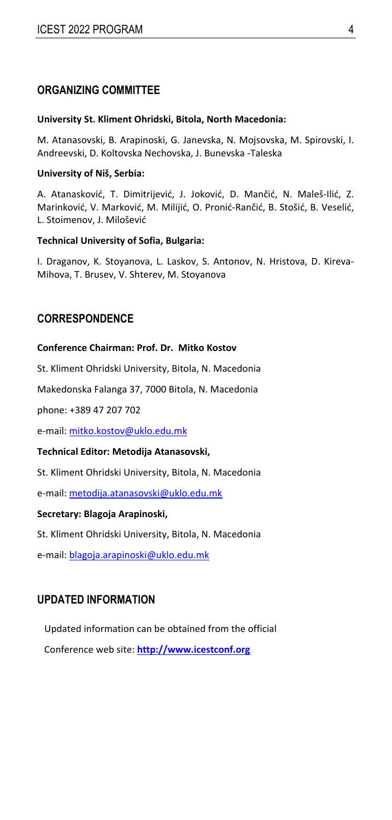# **ORGANIZING COMMITTEE**

#### **University St. Kliment Ohridski, Bitola, North Macedonia:**

M. Atanasovski, B. Arapinoski, G. Janevska, N. Mojsovska, M. Spirovski, I. Andreevski, D. Koltovska Nechovska, J. Bunevska ‐Taleska

#### **University of Niš, Serbia:**

A. Atanasković, T. Dimitrijević, J. Joković, D. Mančić, N. Maleš‐Ilić, Z. Marinković, V. Marković, M. Milijić, O. Pronić‐Rančić, B. Stošić, B. Veselić, L. Stoimenov, J. Milošević

#### **Technical University of Sofia, Bulgaria:**

I. Draganov, K. Stoyanova, L. Laskov, S. Antonov, N. Hristova, D. Kireva‐ Mihova, T. Brusev, V. Shterev, M. Stoyanova

# **CORRESPONDENCE**

#### **Conference Chairman: Prof. Dr. Mitko Kostov**

St. Kliment Ohridski University, Bitola, N. Macedonia

Makedonska Falanga 37, 7000 Bitola, N. Macedonia

phone: +389 47 207 702

e-mail: mitko.kostov@uklo.edu.mk

#### **Technical Editor: Metodija Atanasovski,**

St. Kliment Ohridski University, Bitola, N. Macedonia

e-mail: metodija.atanasovski@uklo.edu.mk

#### **Secretary: Blagoja Arapinoski,**

St. Kliment Ohridski University, Bitola, N. Macedonia

e-mail: blagoja.arapinoski@uklo.edu.mk

## **UPDATED INFORMATION**

Updated information can be obtained from the official Conference web site: **http://www.icestconf.org**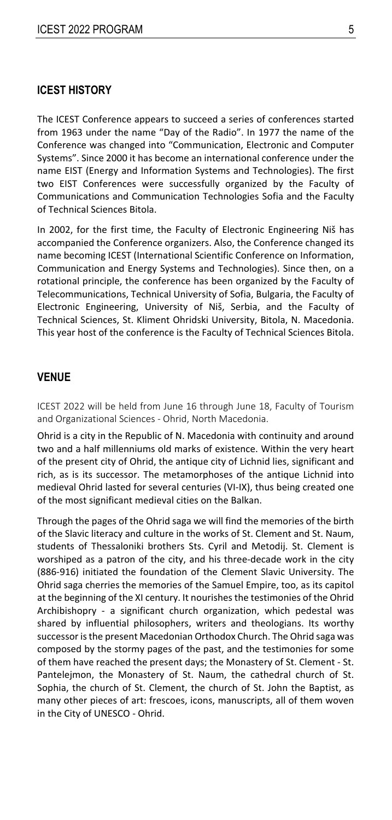#### **ICEST HISTORY**

The ICEST Conference appears to succeed a series of conferences started from 1963 under the name "Day of the Radio". In 1977 the name of the Conference was changed into "Communication, Electronic and Computer Systems". Since 2000 it has become an international conference under the name EIST (Energy and Information Systems and Technologies). The first two EIST Conferences were successfully organized by the Faculty of Communications and Communication Technologies Sofia and the Faculty of Technical Sciences Bitola.

In 2002, for the first time, the Faculty of Electronic Engineering Niš has accompanied the Conference organizers. Also, the Conference changed its name becoming ICEST (International Scientific Conference on Information, Communication and Energy Systems and Technologies). Since then, on a rotational principle, the conference has been organized by the Faculty of Telecommunications, Technical University of Sofia, Bulgaria, the Faculty of Electronic Engineering, University of Niš, Serbia, and the Faculty of Technical Sciences, St. Kliment Ohridski University, Bitola, N. Macedonia. This year host of the conference is the Faculty of Technical Sciences Bitola.

#### **VENUE**

ICEST 2022 will be held from June 16 through June 18, Faculty of Tourism and Organizational Sciences ‐ Ohrid, North Macedonia.

Ohrid is a city in the Republic of N. Macedonia with continuity and around two and a half millenniums old marks of existence. Within the very heart of the present city of Ohrid, the antique city of Lichnid lies, significant and rich, as is its successor. The metamorphoses of the antique Lichnid into medieval Ohrid lasted for several centuries (VI‐IX), thus being created one of the most significant medieval cities on the Balkan.

Through the pages of the Ohrid saga we will find the memories of the birth of the Slavic literacy and culture in the works of St. Clement and St. Naum, students of Thessaloniki brothers Sts. Cyril and Metodij. St. Clement is worshiped as a patron of the city, and his three-decade work in the city (886‐916) initiated the foundation of the Clement Slavic University. The Ohrid saga cherries the memories of the Samuel Empire, too, as its capitol at the beginning of the XI century. It nourishes the testimonies of the Ohrid Archibishopry - a significant church organization, which pedestal was shared by influential philosophers, writers and theologians. Its worthy successor is the present Macedonian Orthodox Church. The Ohrid saga was composed by the stormy pages of the past, and the testimonies for some of them have reached the present days; the Monastery of St. Clement ‐ St. Pantelejmon, the Monastery of St. Naum, the cathedral church of St. Sophia, the church of St. Clement, the church of St. John the Baptist, as many other pieces of art: frescoes, icons, manuscripts, all of them woven in the City of UNESCO ‐ Ohrid.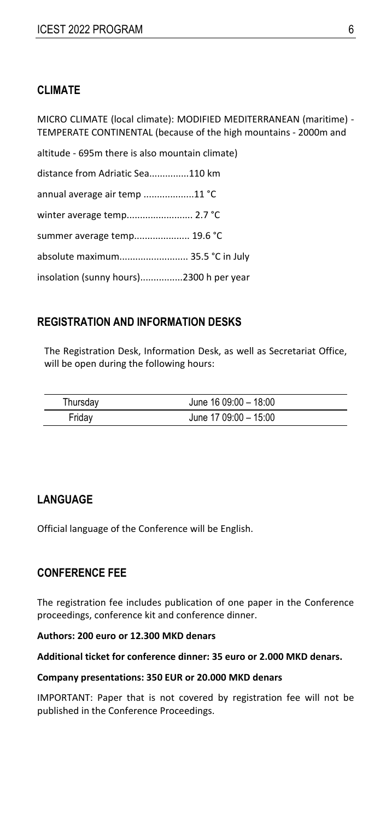# **CLIMATE**

MICRO CLIMATE (local climate): MODIFIED MEDITERRANEAN (maritime) ‐ TEMPERATE CONTINENTAL (because of the high mountains ‐ 2000m and

altitude ‐ 695m there is also mountain climate) distance from Adriatic Sea...............110 km annual average air temp ...................11 °C winter average temp........................... 2.7 °C summer average temp..................... 19.6 °C absolute maximum.......................... 35.5 °C in July insolation (sunny hours)................2300 h per year

# **REGISTRATION AND INFORMATION DESKS**

The Registration Desk, Information Desk, as well as Secretariat Office, will be open during the following hours:

| Thursday | June $1609:00 - 1800$ |  |
|----------|-----------------------|--|
| Friday   | June 17 09:00 - 15:00 |  |

# **LANGUAGE**

Official language of the Conference will be English.

## **CONFERENCE FEE**

The registration fee includes publication of one paper in the Conference proceedings, conference kit and conference dinner.

#### **Authors: 200 euro or 12.300 MKD denars**

#### **Additional ticket for conference dinner: 35 euro or 2.000 MKD denars.**

#### **Company presentations: 350 EUR or 20.000 MKD denars**

IMPORTANT: Paper that is not covered by registration fee will not be published in the Conference Proceedings.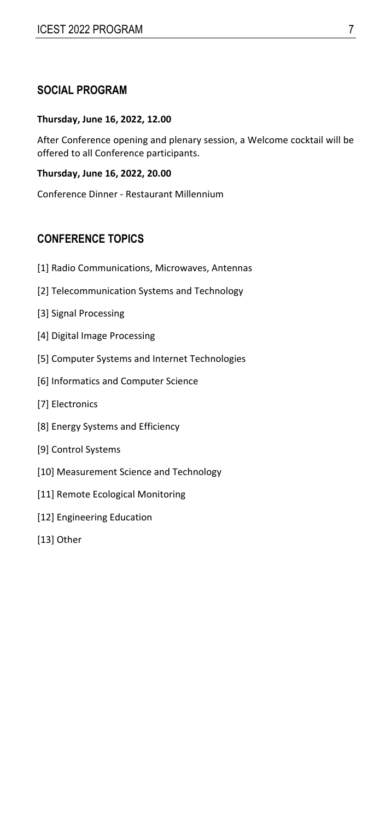# **SOCIAL PROGRAM**

#### **Thursday, June 16, 2022, 12.00**

After Conference opening and plenary session, a Welcome cocktail will be offered to all Conference participants.

#### **Thursday, June 16, 2022, 20.00**

Conference Dinner ‐ Restaurant Millennium

# **CONFERENCE TOPICS**

- [1] Radio Communications, Microwaves, Antennas
- [2] Telecommunication Systems and Technology
- [3] Signal Processing
- [4] Digital Image Processing
- [5] Computer Systems and Internet Technologies
- [6] Informatics and Computer Science
- [7] Electronics
- [8] Energy Systems and Efficiency
- [9] Control Systems
- [10] Measurement Science and Technology
- [11] Remote Ecological Monitoring
- [12] Engineering Education
- [13] Other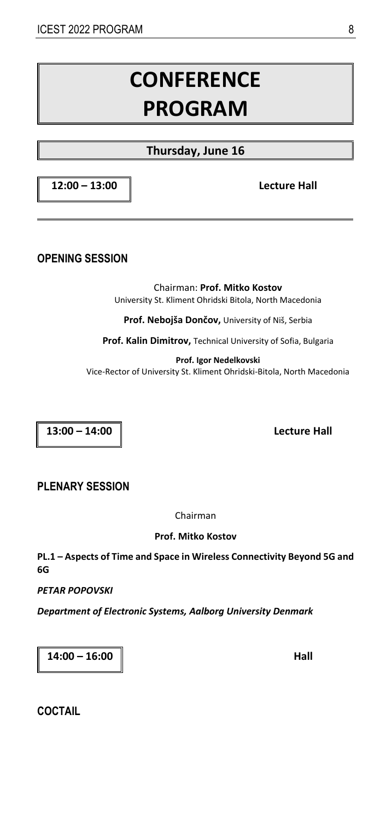# **CONFERENCE PROGRAM**

# **Thursday, June 16**

**12:00 – 13:00 Lecture Hall** 

**OPENING SESSION** 

Chairman: **Prof. Mitko Kostov**  University St. Kliment Ohridski Bitola, North Macedonia

**Prof. Nebojša Dončov,** University of Niš, Serbia

**Prof. Kalin Dimitrov,** Technical University of Sofia, Bulgaria

**Prof. Igor Nedelkovski**  Vice‐Rector of University St. Kliment Ohridski‐Bitola, North Macedonia

**13:00 – 14:00 Lecture Hall** 

**PLENARY SESSION**

Chairman

**Prof. Mitko Kostov** 

**PL.1 – Aspects of Time and Space in Wireless Connectivity Beyond 5G and 6G** 

*PETAR POPOVSKI* 

*Department of Electronic Systems, Aalborg University Denmark* 

**14:00 – 16:00 Hall** 

**COCTAIL**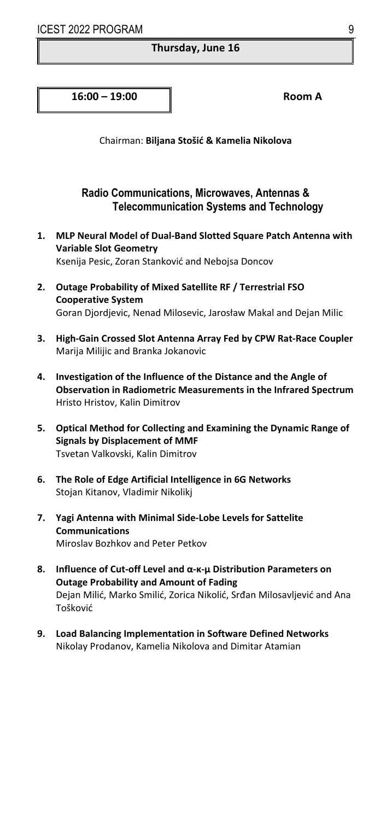#### **Thursday, June 16**

**16:00 – 19:00 Room A**

Chairman: **Biljana Stošić & Kamelia Nikolova** 

#### **Radio Communications, Microwaves, Antennas & Telecommunication Systems and Technology**

- **1. MLP Neural Model of Dual‐Band Slotted Square Patch Antenna with Variable Slot Geometry**  Ksenija Pesic, Zoran Stanković and Nebojsa Doncov
- **2. Outage Probability of Mixed Satellite RF / Terrestrial FSO Cooperative System**  Goran Djordjevic, Nenad Milosevic, Jarosław Makal and Dejan Milic
- **3. High‐Gain Crossed Slot Antenna Array Fed by CPW Rat‐Race Coupler**  Marija Milijic and Branka Jokanovic
- **4. Investigation of the Influence of the Distance and the Angle of Observation in Radiometric Measurements in the Infrared Spectrum**  Hristo Hristov, Kalin Dimitrov
- **5. Optical Method for Collecting and Examining the Dynamic Range of Signals by Displacement of MMF**  Tsvetan Valkovski, Kalin Dimitrov
- **6. Тhe Role of Edge Artificial Intelligence in 6G Networks**  Stojan Kitanov, Vladimir Nikolikj
- **7. Yagi Antenna with Minimal Side‐Lobe Levels for Sattelite Communications**  Miroslav Bozhkov and Peter Petkov
- **8. Influence of Cut‐off Level and α‐κ‐μ Distribution Parameters on Outage Probability and Amount of Fading**  Dejan Milić, Marko Smilić, Zorica Nikolić, Srđan Milosavljević and Ana Tošković
- **9. Load Balancing Implementation in Software Defined Networks**  Nikolay Prodanov, Kamelia Nikolova and Dimitar Atamian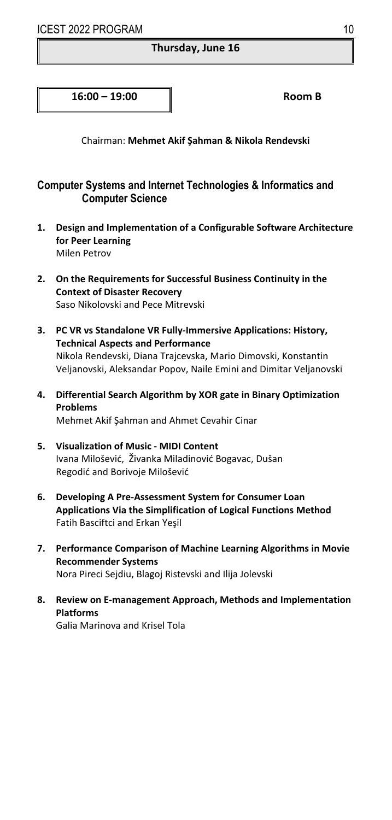#### **Thursday, June 16**

**16:00 – 19:00 Room B**

Chairman: **Mehmet Akif Şahman & Nikola Rendevski** 

# **Computer Systems and Internet Technologies & Informatics and Computer Science**

- **1. Design and Implementation of a Configurable Software Architecture for Peer Learning**  Milen Petrov
- **2. On the Requirements for Successful Business Continuity in the Context of Disaster Recovery**  Saso Nikolovski and Pece Mitrevski
- **3. PC VR vs Standalone VR Fully‐Immersive Applications: History, Technical Aspects and Performance**  Nikola Rendevski, Diana Trajcevska, Mario Dimovski, Konstantin Veljanovski, Aleksandar Popov, Naile Emini and Dimitar Veljanovski
- **4. Differential Search Algorithm by XOR gate in Binary Optimization Problems**  Mehmet Akif Şahman and Ahmet Cevahir Cinar
- **5. Visualization of Music ‐ MIDI Content**  Ivana Milošević, Živanka Miladinović Bogavac, Dušan Regodić and Borivoje Milošević
- **6. Developing A Pre‐Assessment System for Consumer Loan Applications Via the Simplification of Logical Functions Method** Fatih Basciftci and Erkan Yeşil
- **7. Performance Comparison of Machine Learning Algorithms in Movie Recommender Systems**  Nora Pireci Sejdiu, Blagoj Ristevski and Ilija Jolevski
- **8. Review on E‐management Approach, Methods and Implementation Platforms**  Galia Marinova and Krisel Tola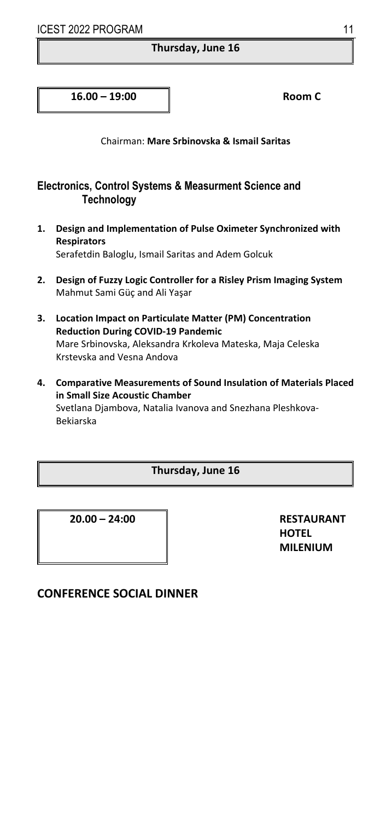#### **Thursday, June 16**

**16.00 – 19:00 Room C**

Chairman: **Mare Srbinovska & Ismail Saritas** 

# **Electronics, Control Systems & Measurment Science and Technology**

- **1. Design and Implementation of Pulse Oximeter Synchronized with Respirators**  Serafetdin Baloglu, Ismail Saritas and Adem Golcuk
- **2. Design of Fuzzy Logic Controller for a Risley Prism Imaging System**  Mahmut Sami Güç and Ali Yaşar
- **3. Location Impact on Particulate Matter (PM) Concentration Reduction During COVID‐19 Pandemic**  Mare Srbinovska, Aleksandra Krkoleva Mateska, Maja Celeska Krstevska and Vesna Andova
- **4. Comparative Measurements of Sound Insulation of Materials Placed in Small Size Acoustic Chamber**  Svetlana Djambova, Natalia Ivanova and Snezhana Pleshkova‐ Bekiarska

#### **Thursday, June 16**

**20.00 – 24:00 RESTAURANT** 

**HOTEL MILENIUM** 

# **CONFERENCE SOCIAL DINNER**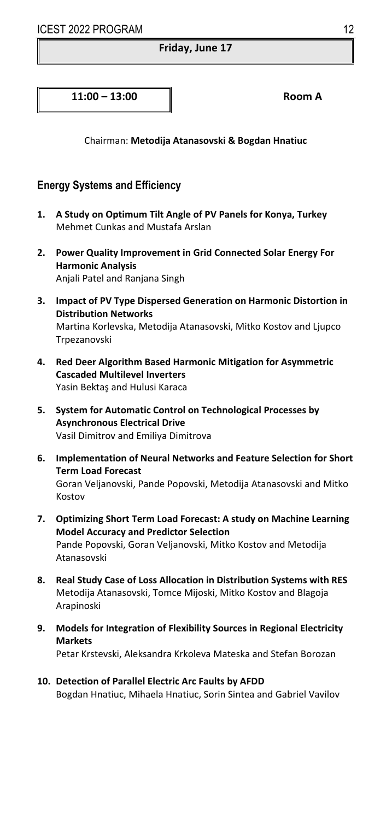#### **Friday, June 17**

**11:00 – 13:00 Room A**

Chairman: **Metodija Atanasovski & Bogdan Hnatiuc** 

## **Energy Systems and Efficiency**

- **1. A Study on Optimum Tilt Angle of PV Panels for Konya, Turkey**  Mehmet Cunkas and Mustafa Arslan
- **2. Power Quality Improvement in Grid Connected Solar Energy For Harmonic Analysis**  Anjali Patel and Ranjana Singh
- **3. Impact of PV Type Dispersed Generation on Harmonic Distortion in Distribution Networks**  Martina Korlevska, Metodija Atanasovski, Mitko Kostov and Ljupco Trpezanovski
- **4. Red Deer Algorithm Based Harmonic Mitigation for Asymmetric Cascaded Multilevel Inverters**  Yasin Bektaş and Hulusi Karaca
- **5. System for Automatic Control on Technological Processes by Asynchronous Electrical Drive**  Vasil Dimitrov and Emiliya Dimitrova
- **6. Implementation of Neural Networks and Feature Selection for Short Term Load Forecast**  Goran Veljanovski, Pande Popovski, Metodija Atanasovski and Mitko Kostov
- **7. Optimizing Short Term Load Forecast: A study on Machine Learning Model Accuracy and Predictor Selection**  Pande Popovski, Goran Veljanovski, Mitko Kostov and Metodija Atanasovski
- **8. Real Study Case of Loss Allocation in Distribution Systems with RES**  Metodija Atanasovski, Tomce Mijoski, Mitko Kostov and Blagoja Arapinoski
- **9. Models for Integration of Flexibility Sources in Regional Electricity Markets**  Petar Krstevski, Aleksandra Krkoleva Mateska and Stefan Borozan
- **10. Detection of Parallel Electric Arc Faults by AFDD**  Bogdan Hnatiuc, Mihaela Hnatiuc, Sorin Sintea and Gabriel Vavilov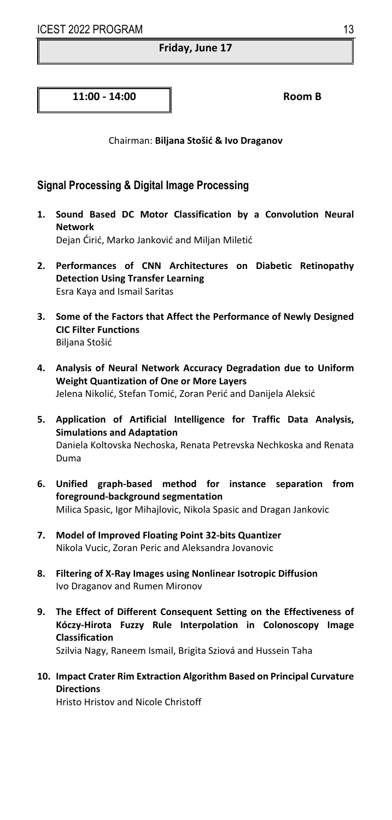#### **Friday, June 17**

**11:00 ‐ 14:00 Room B**

Chairman: **Biljana Stošić & Ivo Draganov** 

# **Signal Processing & Digital Image Processing**

- **1. Sound Based DC Motor Classification by a Convolution Neural Network**  Dejan Ćirić, Marko Janković and Miljan Miletić
- **2. Performances of CNN Architectures on Diabetic Retinopathy Detection Using Transfer Learning**  Esra Kaya and Ismail Saritas
- **3. Some of the Factors that Affect the Performance of Newly Designed CIC Filter Functions**  Biljana Stošić
- **4. Analysis of Neural Network Accuracy Degradation due to Uniform Weight Quantization of One or More Layers**  Jelena Nikolić, Stefan Tomić, Zoran Perić and Danijela Aleksić
- **5. Application of Artificial Intelligence for Traffic Data Analysis, Simulations and Adaptation**  Daniela Koltovska Nechoska, Renata Petrevska Nechkoska and Renata Duma
- **6. Unified graph‐based method for instance separation from foreground‐background segmentation**  Milica Spasic, Igor Mihajlovic, Nikola Spasic and Dragan Jankovic
- **7. Model of Improved Floating Point 32‐bits Quantizer**  Nikola Vucic, Zoran Peric and Aleksandra Jovanovic
- **8. Filtering of X‐Ray Images using Nonlinear Isotropic Diffusion**  Ivo Draganov and Rumen Mironov
- **9. The Effect of Different Consequent Setting on the Effectiveness of Kóczy‐Hirota Fuzzy Rule Interpolation in Colonoscopy Image Classification**

Szilvia Nagy, Raneem Ismail, Brigita Sziová and Hussein Taha

**10. Impact Crater Rim Extraction Algorithm Based on Principal Curvature Directions** 

Hristo Hristov and Nicole Christoff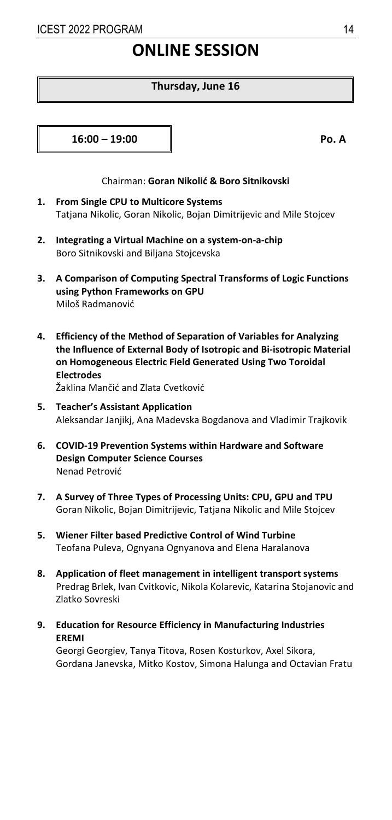# **ONLINE SESSION**

#### **Thursday, June 16**

**16:00 – 19:00 Po. A**

#### Chairman: **Goran Nikolić & Boro Sitnikovski**

- **1. From Single CPU to Multicore Systems**  Tatjana Nikolic, Goran Nikolic, Bojan Dimitrijevic and Mile Stojcev
- **2. Integrating a Virtual Machine on a system‐on‐a‐chip**  Boro Sitnikovski and Biljana Stojcevska
- **3. A Comparison of Computing Spectral Transforms of Logic Functions using Python Frameworks on GPU**  Miloš Radmanović
- **4. Efficiency of the Method of Separation of Variables for Analyzing the Influence of External Body of Isotropic and Bi‐isotropic Material on Homogeneous Electric Field Generated Using Two Toroidal Electrodes**

Žaklina Mančić and Zlata Cvetković

- **5. Teacher's Assistant Application**  Aleksandar Janjikj, Ana Madevska Bogdanova and Vladimir Trajkovik
- **6. COVID‐19 Prevention Systems within Hardware and Software Design Computer Science Courses**  Nenad Petrović
- **7. A Survey of Three Types of Processing Units: CPU, GPU and TPU**  Goran Nikolic, Bojan Dimitrijevic, Tatjana Nikolic and Mile Stojcev
- **5. Wiener Filter based Predictive Control of Wind Turbine**  Teofana Puleva, Ognyana Ognyanova and Elena Haralanova
- **8. Application of fleet management in intelligent transport systems**  Predrag Brlek, Ivan Cvitkovic, Nikola Kolarevic, Katarina Stojanovic and Zlatko Sovreski
- **9. Education for Resource Efficiency in Manufacturing Industries EREMI**

Georgi Georgiev, Tanya Titova, Rosen Kosturkov, Axel Sikora, Gordana Janevska, Mitko Kostov, Simona Halunga and Octavian Fratu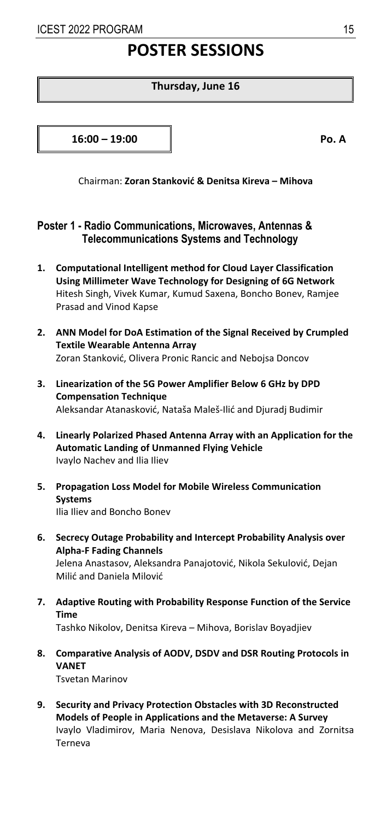# **POSTER SESSIONS**

#### **Thursday, June 16**

**16:00 – 19:00 Po. A**

Chairman: **Zoran Stanković & Denitsa Kireva – Mihova** 

# **Poster 1 - Radio Communications, Microwaves, Antennas & Telecommunications Systems and Technology**

- **1. Computational Intelligent method for Cloud Layer Classification Using Millimeter Wave Technology for Designing of 6G Network**  Hitesh Singh, Vivek Kumar, Kumud Saxena, Boncho Bonev, Ramjee Prasad and Vinod Kapse
- **2. ANN Model for DoA Estimation of the Signal Received by Crumpled Textile Wearable Antenna Array**  Zoran Stanković, Olivera Pronic Rancic and Nebojsa Doncov
- **3. Linearization of the 5G Power Amplifier Below 6 GHz by DPD Compensation Technique**  Aleksandar Atanasković, Nataša Maleš‐Ilić and Djuradj Budimir
- **4. Linearly Polarized Phased Antenna Array with an Application for the Automatic Landing of Unmanned Flying Vehicle**  Ivaylo Nachev and Ilia Iliev
- **5. Propagation Loss Model for Mobile Wireless Communication Systems**  Ilia Iliev and Boncho Bonev
- **6. Secrecy Outage Probability and Intercept Probability Analysis over Alpha‐F Fading Channels**  Jelena Anastasov, Aleksandra Panajotović, Nikola Sekulović, Dejan Milić and Daniela Milović
- **7. Adaptive Routing with Probability Response Function of the Service Time**  Tashko Nikolov, Denitsa Kireva – Mihova, Borislav Boyadjiev
- **8. Comparative Analysis of AODV, DSDV and DSR Routing Protocols in VANET**  Tsvetan Marinov
- **9. Security and Privacy Protection Obstacles with 3D Reconstructed Models of People in Applications and the Metaverse: A Survey**  Ivaylo Vladimirov, Maria Nenova, Desislava Nikolova and Zornitsa Terneva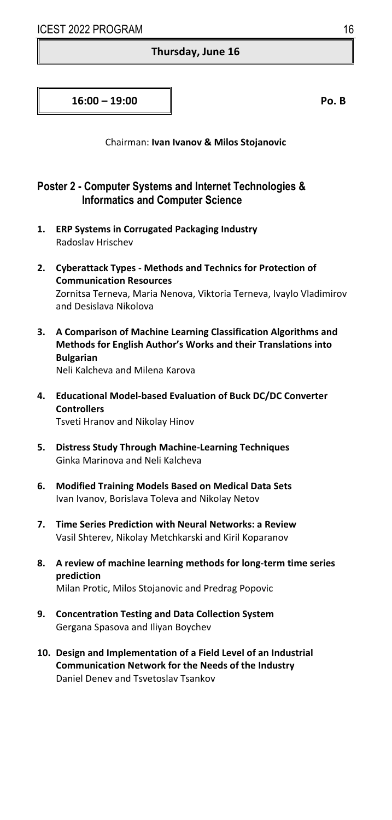#### **Thursday, June 16**

**16:00 – 19:00 Po. B**

Chairman: **Ivan Ivanov & Milos Stojanovic**

# **Poster 2 - Computer Systems and Internet Technologies & Informatics and Computer Science**

- **1. ERP Systems in Corrugated Packaging Industry**  Radoslav Hrischev
- **2. Cyberattack Types ‐ Methods and Technics for Protection of Communication Resources**  Zornitsa Terneva, Maria Nenova, Viktoria Terneva, Ivaylo Vladimirov and Desislava Nikolova
- **3. A Comparison of Machine Learning Classification Algorithms and Methods for English Author's Works and their Translations into Bulgarian**  Neli Kalcheva and Milena Karova

**4. Educational Model‐based Evaluation of Buck DC/DC Converter Controllers** 

Tsveti Hranov and Nikolay Hinov

- **5. Distress Study Through Machine‐Learning Techniques**  Ginka Marinova and Neli Kalcheva
- **6. Modified Training Models Based on Medical Data Sets**  Ivan Ivanov, Borislava Toleva and Nikolay Netov
- **7. Time Series Prediction with Neural Networks: a Review**  Vasil Shterev, Nikolay Metchkarski and Kiril Koparanov
- **8. A review of machine learning methods for long‐term time series prediction**  Milan Protic, Milos Stojanovic and Predrag Popovic
- **9. Concentration Testing and Data Collection System**  Gergana Spasova and Iliyan Boychev
- **10. Design and Implementation of a Field Level of an Industrial Communication Network for the Needs of the Industry**  Daniel Denev and Tsvetoslav Tsankov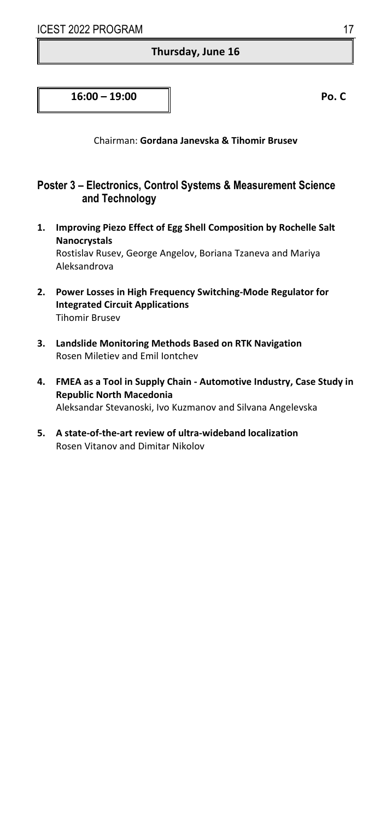#### **Thursday, June 16**

# **16:00 – 19:00 Po. C**

Chairman: **Gordana Janevska & Tihomir Brusev**

# **Poster 3 – Electronics, Control Systems & Measurement Science and Technology**

- **1. Improving Piezo Effect of Egg Shell Composition by Rochelle Salt Nanocrystals**  Rostislav Rusev, George Angelov, Boriana Tzaneva and Mariya Aleksandrova
- **2. Power Losses in High Frequency Switching‐Mode Regulator for Integrated Circuit Applications**  Tihomir Brusev
- **3. Landslide Monitoring Methods Based on RTK Navigation**  Rosen Miletiev and Emil Iontchev
- **4. FMEA as a Tool in Supply Chain ‐ Automotive Industry, Case Study in Republic North Macedonia**  Aleksandar Stevanoski, Ivo Kuzmanov and Silvana Angelevska
- **5. A state‐of‐the‐art review of ultra‐wideband localization**  Rosen Vitanov and Dimitar Nikolov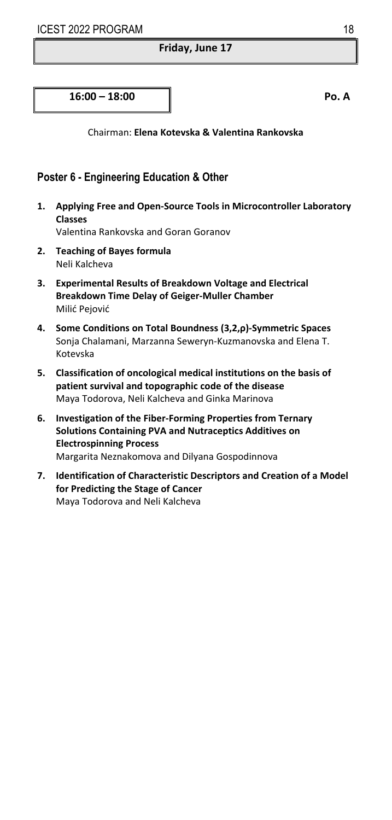#### **Friday, June 17**

#### **16:00 – 18:00 Po. A**

Chairman: **Elena Kotevska & Valentina Rankovska** 

# **Poster 6 - Engineering Education & Other**

**1. Applying Free and Open‐Source Tools in Microcontroller Laboratory Classes** 

Valentina Rankovska and Goran Goranov

- **2. Teaching of Bayes formula**  Neli Kalcheva
- **3. Experimental Results of Breakdown Voltage and Electrical Breakdown Time Delay of Geiger‐Muller Chamber**  Milić Pejović
- **4. Some Conditions on Total Boundness (3,2,ρ)‐Symmetric Spaces**  Sonja Chalamani, Marzanna Seweryn‐Kuzmanovska and Elena T. Kotevska
- **5. Classification of oncological medical institutions on the basis of patient survival and topographic code of the disease**  Maya Todorova, Neli Kalcheva and Ginka Marinova
- **6. Investigation of the Fiber‐Forming Properties from Ternary Solutions Containing PVA and Nutraceptics Additives on Electrospinning Process**  Margarita Neznakomova and Dilyana Gospodinnova
- **7. Identification of Characteristic Descriptors and Creation of a Model for Predicting the Stage of Cancer**  Maya Todorova and Neli Kalcheva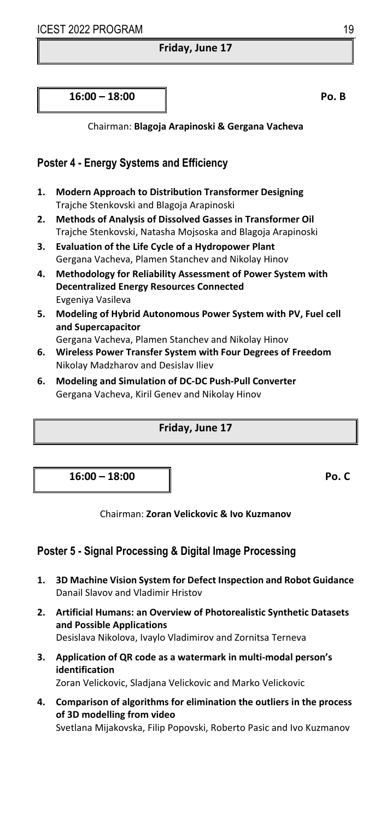#### **Friday, June 17**

**16:00 – 18:00 Po. B**

Chairman: **Blagoja Arapinoski & Gergana Vacheva** 

# **Poster 4 - Energy Systems and Efficiency**

- **1. Modern Approach to Distribution Transformer Designing**  Trajche Stenkovski and Blagoja Arapinoski
- **2. Methods of Analysis of Dissolved Gasses in Transformer Oil**  Trajche Stenkovski, Natasha Mojsoska and Blagoja Arapinoski
- **3. Evaluation of the Life Cycle of a Hydropower Plant**  Gergana Vacheva, Plamen Stanchev and Nikolay Hinov
- **4. Methodology for Reliability Assessment of Power System with Decentralized Energy Resources Connected**  Evgeniya Vasileva
- **5. Modeling of Hybrid Autonomous Power System with PV, Fuel cell and Supercapacitor**
- Gergana Vacheva, Plamen Stanchev and Nikolay Hinov
- **6. Wireless Power Transfer System with Four Degrees of Freedom**  Nikolay Madzharov and Desislav Iliev
- **6. Modeling and Simulation of DC‐DC Push‐Pull Converter**  Gergana Vacheva, Kiril Genev and Nikolay Hinov

#### **Friday, June 17**

**16:00 – 18:00 Po. C**

Chairman: **Zoran Velickovic & Ivo Kuzmanov** 

# **Poster 5 - Signal Processing & Digital Image Processing**

- **1. 3D Machine Vision System for Defect Inspection and Robot Guidance**  Danail Slavov and Vladimir Hristov
- **2. Artificial Humans: an Overview of Photorealistic Synthetic Datasets and Possible Applications**  Desislava Nikolova, Ivaylo Vladimirov and Zornitsa Terneva
- **3. Application of QR code as a watermark in multi‐modal person's identification**

Zoran Velickovic, Sladjana Velickovic and Marko Velickovic

**4. Comparison of algorithms for elimination the outliers in the process of 3D modelling from video**  Svetlana Mijakovska, Filip Popovski, Roberto Pasic and Ivo Kuzmanov